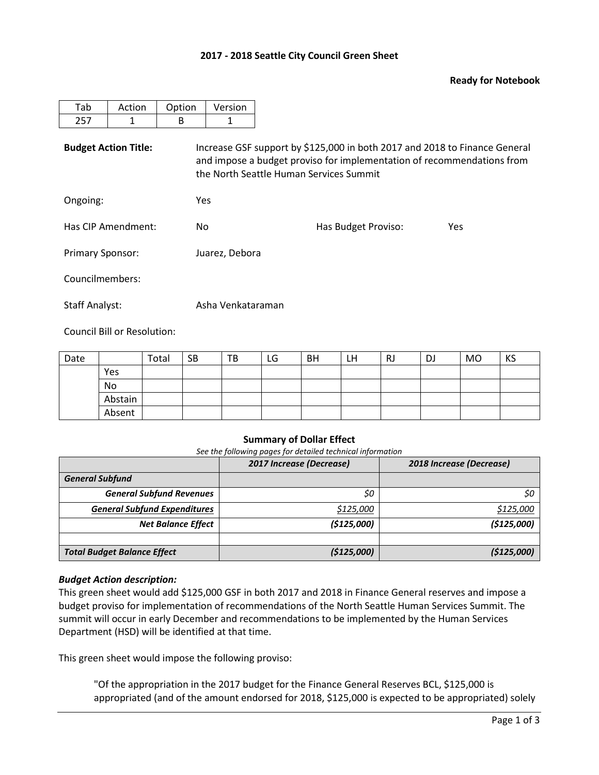# **2017 - 2018 Seattle City Council Green Sheet**

### **Ready for Notebook**

| Action | Option | Version |
|--------|--------|---------|
|        |        |         |

**Budget Action Title:** Increase GSF support by \$125,000 in both 2017 and 2018 to Finance General and impose a budget proviso for implementation of recommendations from the North Seattle Human Services Summit

Ongoing: Yes

Has CIP Amendment: No No Has Budget Proviso: Yes

Councilmembers:

Staff Analyst: Asha Venkataraman

Primary Sponsor: Juarez, Debora

Council Bill or Resolution:

| Date |         | Total | <b>SB</b> | TB | LG | <b>BH</b> | LН | <b>RJ</b> | DJ | MO | KS |
|------|---------|-------|-----------|----|----|-----------|----|-----------|----|----|----|
|      | Yes     |       |           |    |    |           |    |           |    |    |    |
|      | No      |       |           |    |    |           |    |           |    |    |    |
|      | Abstain |       |           |    |    |           |    |           |    |    |    |
|      | Absent  |       |           |    |    |           |    |           |    |    |    |

## **Summary of Dollar Effect**

*See the following pages for detailed technical information*

|                                     | 2017 Increase (Decrease) | 2018 Increase (Decrease) |  |  |  |
|-------------------------------------|--------------------------|--------------------------|--|--|--|
| <b>General Subfund</b>              |                          |                          |  |  |  |
| <b>General Subfund Revenues</b>     | \$0                      | \$0                      |  |  |  |
| <b>General Subfund Expenditures</b> | \$125,000                | \$125,000                |  |  |  |
| <b>Net Balance Effect</b>           | (\$125,000)              | (\$125,000)              |  |  |  |
|                                     |                          |                          |  |  |  |
| <b>Total Budget Balance Effect</b>  | (\$125,000)              | (\$125,000)              |  |  |  |

## *Budget Action description:*

This green sheet would add \$125,000 GSF in both 2017 and 2018 in Finance General reserves and impose a budget proviso for implementation of recommendations of the North Seattle Human Services Summit. The summit will occur in early December and recommendations to be implemented by the Human Services Department (HSD) will be identified at that time.

This green sheet would impose the following proviso:

"Of the appropriation in the 2017 budget for the Finance General Reserves BCL, \$125,000 is appropriated (and of the amount endorsed for 2018, \$125,000 is expected to be appropriated) solely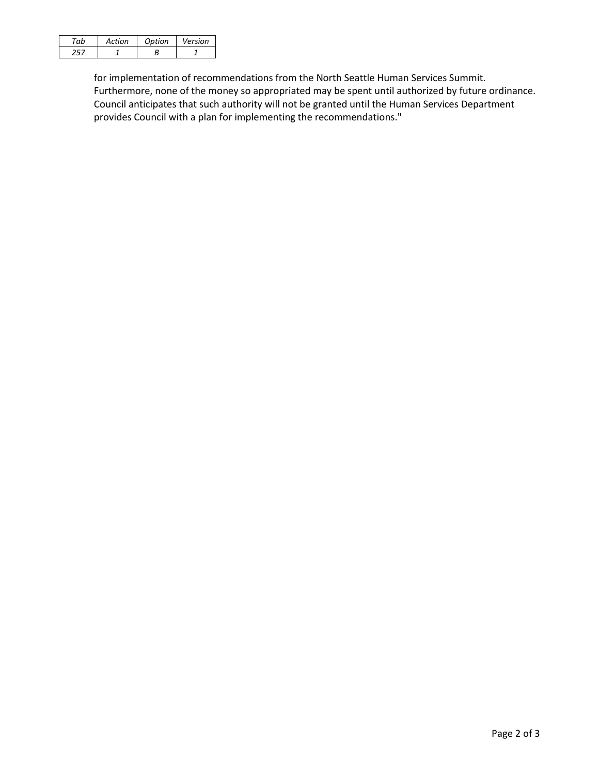| Artion | <b>Option</b> | Version |
|--------|---------------|---------|
|        |               |         |

for implementation of recommendations from the North Seattle Human Services Summit. Furthermore, none of the money so appropriated may be spent until authorized by future ordinance. Council anticipates that such authority will not be granted until the Human Services Department provides Council with a plan for implementing the recommendations."